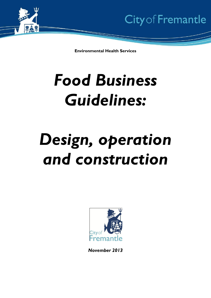

**Environmental Health Services**

# *Food Business Guidelines:*

# *Design, operation and construction*



*November 2013*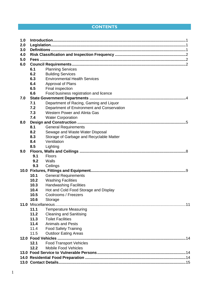# **CONTENTS**

| 1.0 |      |                                            |  |
|-----|------|--------------------------------------------|--|
| 2.0 |      |                                            |  |
| 3.0 |      |                                            |  |
| 4.0 |      |                                            |  |
| 5.0 |      |                                            |  |
| 6.0 |      |                                            |  |
|     | 6.1  | <b>Planning Services</b>                   |  |
|     | 6.2  | <b>Building Services</b>                   |  |
|     | 6.3  | <b>Environmental Health Services</b>       |  |
|     | 6.4  | Approval of Plans                          |  |
|     | 6.5  | Final inspection                           |  |
|     | 6.6  | Food business registration and licence     |  |
| 7.0 |      |                                            |  |
|     | 7.1  | Department of Racing, Gaming and Liquor    |  |
|     | 7.2  | Department of Environment and Conservation |  |
|     | 7.3  | <b>Western Power and Alinta Gas</b>        |  |
|     | 7.4  | <b>Water Corporation</b>                   |  |
| 8.0 |      |                                            |  |
|     | 8.1  | <b>General Requirements</b>                |  |
|     | 8.2  | Sewage and Waste Water Disposal            |  |
|     | 8.3  | Storage of Garbage and Recyclable Matter   |  |
|     | 8.4  | Ventilation                                |  |
|     | 8.5  | Lighting                                   |  |
| 9.0 |      |                                            |  |
|     | 9.1  | <b>Floors</b>                              |  |
|     | 9.2  | Walls                                      |  |
|     | 9.3  | Ceilings                                   |  |
|     |      |                                            |  |
|     | 10.1 | <b>General Requirements</b>                |  |
|     | 10.2 | <b>Washing Facilities</b>                  |  |
|     | 10.3 | <b>Handwashing Facilities</b>              |  |
|     | 10.4 | Hot and Cold Food Storage and Display      |  |
|     | 10.5 | Coolrooms / Freezers                       |  |
|     | 10.6 | Storage                                    |  |
|     |      |                                            |  |
|     | 11.1 | <b>Temperature Measuring</b>               |  |
|     | 11.2 | <b>Cleaning and Sanitising</b>             |  |
|     | 11.3 | <b>Toilet Facilities</b>                   |  |
|     | 11.4 | <b>Animals and Pests</b>                   |  |
|     | 11.4 | <b>Food Safety Training</b>                |  |
|     | 11.5 | <b>Outdoor Eating Areas</b>                |  |
|     |      |                                            |  |
|     | 12.1 | <b>Food Transport Vehicles</b>             |  |
|     | 12.2 | <b>Mobile Food Vehicles</b>                |  |
|     |      |                                            |  |
|     |      |                                            |  |
|     |      |                                            |  |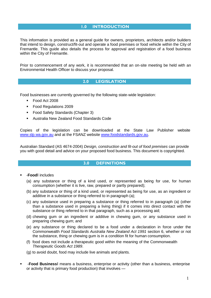## **1.0 INTRODUCTION**

<span id="page-2-0"></span>This information is provided as a general guide for owners, proprietors, architects and/or builders that intend to design, construct/fit-out and operate a food premises or food vehicle within the City of Fremantle. This guide also details the process for approval and registration of a food business within the City of Fremantle.

Prior to commencement of any work, it is recommended that an on-site meeting be held with an Environmental Health Officer to discuss your proposal.

## **2.0 LEGISLATION**

<span id="page-2-1"></span>Food businesses are currently governed by the following state-wide legislation:

- Food Act 2008
- **Food Regulations 2009**
- **Food Safety Standards (Chapter 3)**
- Australia New Zealand Food Standards Code

Copies of the legislation can be downloaded at the State Law Publisher website [www.slp.wa.gov.au](http://www.slp.wa.gov.au/) and at the FSANZ website [www.foodstandards.gov.au.](http://www.foodstandards.gov.au/)

<span id="page-2-2"></span>Australian Standard (AS 4674-2004) *Design, construction and fit-out of food premises* can provide you with good detail and advice on your proposed food business. This document is copyrighted.

## **3.0 DEFINITIONS**

#### ―**Food**‖ includes

- (a) any substance or thing of a kind used, or represented as being for use, for human consumption (whether it is live, raw, prepared or partly prepared);
- (b) any substance or thing of a kind used, or represented as being for use, as an ingredient or additive in a substance or thing referred to in paragraph (a);
- (c) any substance used in preparing a substance or thing referred to in paragraph (a) (other than a substance used in preparing a living thing) if it comes into direct contact with the substance or thing referred to in that paragraph, such as a processing aid;
- (d) chewing gum or an ingredient or additive in chewing gum, or any substance used in preparing chewing gum; and
- (e) any substance or thing declared to be a food under a declaration in force under the Commonwealth *Food Standards Australia New Zealand Act 1991* section 6, whether or not the substance, thing or chewing gum is in a condition fit for human consumption.
- (f) food does not include a therapeutic good within the meaning of the Commonwealth *Therapeutic Goods Act 1989*.
- (g) to avoid doubt, food may include live animals and plants.
- ―**Food Business**‖ means a business, enterprise or activity (other than a business, enterprise or activity that is primary food production) that involves —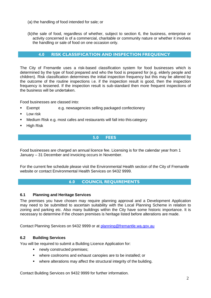- (a) the handling of food intended for sale; or
- (b)the sale of food, regardless of whether, subject to section 6, the business, enterprise or activity concerned is of a commercial, charitable or community nature or whether it involves the handling or sale of food on one occasion only.

## **4.0 RISK CLASSIFICATION AND INSPECTION FREQUENCY**

<span id="page-3-0"></span>The City of Fremantle uses a risk-based classification system for food businesses which is determined by the type of food prepared and who the food is prepared for (e.g. elderly people and children). Risk classification determines the initial inspection frequency but this may be altered by the outcome of the routine inspections i.e. if the inspection result is good, then the inspection frequency is lessened. If the inspection result is sub-standard then more frequent inspections of the business will be undertaken.

Food businesses are classed into:

- Exempt e.g. newsagencies selling packaged confectionery
- **Low risk**
- Medium Risk e.g. most cafes and restaurants will fall into this category
- <span id="page-3-1"></span>**High Risk**

## **5.0 FEES**

Food businesses are charged an annual licence fee. Licensing is for the calendar year from 1 January – 31 December and invoicing occurs in November.

<span id="page-3-2"></span>For the current fee schedule please visit the Environmental Health section of the City of Fremantle website or contact Environmental Health Services on 9432 9999.

## **6.0 COUNCIL REQUIREMENTS**

## **6.1 Planning and Heritage Services**

The premises you have chosen may require planning approval and a Development Application may need to be submitted to ascertain suitability with the Local Planning Scheme in relation to zoning and parking etc. Also many buildings within the City have some historic importance. It is necessary to determine if the chosen premises is heritage listed before alterations are made.

Contact Planning Services on 9432 9999 or at [planning@fremantle.wa.gov.au](mailto:planning@fremantle.wa.gov.au)

## **6.2 Building Services**

You will be required to submit a Building Licence Application for:

- newly constructed premises;
- where coolrooms and exhaust canopies are to be installed; or
- where alterations may affect the structural integrity of the building.

Contact Building Services on 9432 9999 for further information.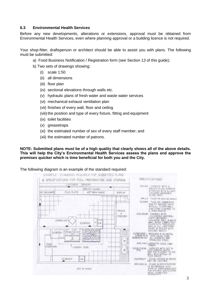## **6.3 Environmental Health Services**

Before any new developments, alterations or extensions, approval must be obtained from Environmental Health Services, even where planning approval or a building licence is not required.

Your shop-fitter, draftsperson or architect should be able to assist you with plans. The following must be submitted:

- a) Food Business Notification / Registration form (see Section 13 of this guide);
- b) Two sets of drawings showing:
	- (i) scale 1:50
	- (ii) all dimensions
	- (iii) floor plan
	- (iv) sectional elevations through walls etc.
	- (v) hydraulic plans of fresh water and waste water services
	- (vi) mechanical exhaust ventilation plan
	- (vii) finishes of every wall, floor and ceiling
	- (viii) the position and type of every fixture, fitting and equipment
	- (ix) toilet facilities
	- (x) greasetraps
	- (xi) the estimated number of sex of every staff member; and
	- (xii) the estimated number of patrons.

**NOTE: Submitted plans must be of a high quality that clearly shows all of the above details. This will help the City's Environmental Health Services assess the plans and approve the premises quicker which is time beneficial for both you and the City.**

#### The following diagram is an example of the standard required:

|                | <b>CUSTOMER</b>                                                        | SERVERY                        |                          |                                                                                                                                                                                                                                                                                                                                                                                                                                                               |
|----------------|------------------------------------------------------------------------|--------------------------------|--------------------------|---------------------------------------------------------------------------------------------------------------------------------------------------------------------------------------------------------------------------------------------------------------------------------------------------------------------------------------------------------------------------------------------------------------------------------------------------------------|
|                |                                                                        | BREATH GUARD                   |                          | CEILING GYPROCK WITH A<br>SMOOTH FLUSH SURFACE<br>B FAINTED WITH A LIGHT                                                                                                                                                                                                                                                                                                                                                                                      |
| DRY BAIN MARE  | COLD PLATE                                                             | WET BAIN MARIE                 | DISPLAY                  | COLOURED WASHABLE<br>GLOSS PAINT                                                                                                                                                                                                                                                                                                                                                                                                                              |
|                |                                                                        |                                |                          | WALLS TILED TO CEILING HEIGHT                                                                                                                                                                                                                                                                                                                                                                                                                                 |
| <b>KSBENDH</b> | DRINKS UNIT<br>应证+<br>自白を<br><b>PUTTER</b><br>$-0 - 0$<br>FRYDRI FRYDR | <b>SSBENCH</b><br>HB<br>ö<br>ö | FRIDGE<br><b>FREEZER</b> | FLOORS TILED OR COMMERCIAL<br>QUALITY WELDED VINYL<br>WITH ALL FLOOR/WALL<br>JUNCTIONS COVERED TO<br>COOLROOM: FINISHED WITH<br>COLORBOND MATERIAL<br><b>CAVITY BETWEEN</b><br>COOLROOM WALL B BRICK<br>WALL BEING COMPLETELY<br>FILLED WITH FIDREGLASS<br>WOOL B. ALL JUNCTIONS<br>COVER & SEALED WITH<br>SILICONE MASTIC<br>CUPBOARDS/<br>BACKLESS & ON METAL<br>CABINETS &<br>LEGS 150 mm HIGH<br><b>WORKBENCHES</b><br>ALL SURFACES ARE<br>STANLESS STEEL |
| FOOD           | We're us                                                               |                                |                          | SHELVING LAMINATED SOLID CORE                                                                                                                                                                                                                                                                                                                                                                                                                                 |
| STOPE ROOM     | CANOPY OVER                                                            |                                |                          | DOUBLE BOWL SUPPLIED WITH HOT &<br>SINK TOP FLASHED TO THE<br>WALL WITH 600mm OF                                                                                                                                                                                                                                                                                                                                                                              |
|                | HB<br>S.S.BENCH                                                        |                                |                          | EQUIPMENT STOVE FRYERS & DRINKS                                                                                                                                                                                                                                                                                                                                                                                                                               |
|                |                                                                        | (NOT TO SCALE)                 |                          | MECHANICAL - PLANS B SPECIFICATIONS<br>IN ACCORDANCE WITH<br>SHIRE OF SWAN GUIDELINES<br>FOR KITCHEN, VENTILATION<br><b>BEING SUBMITTED</b>                                                                                                                                                                                                                                                                                                                   |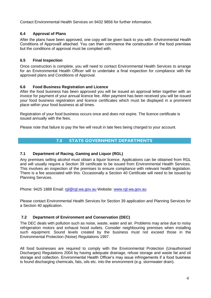Contact Environmental Health Services on 9432 9856 for further information.

## **6.4 Approval of Plans**

After the plans have been approved, one copy will be given back to you with ―Environmental Health Conditions of Approval‖ attached. You can then commence the construction of the food premises but the conditions of approval must be complied with.

## **6.5 Final Inspection**

Once construction is complete, you will need to contact Environmental Health Services to arrange for an Environmental Health Officer will to undertake a final inspection for compliance with the approved plans and Conditions of Approval.

## **6.6 Food Business Registration and Licence**

After the food business has been approved you will be issued an approval letter together with an invoice for payment of your annual licence fee. After payment has been received you will be issued your food business registration and licence certificates which must be displayed in a prominent place within your food business at all times.

Registration of your food business occurs once and does not expire. The licence certificate is issued annually with the fees.

Please note that failure to pay the fee will result in late fees being charged to your account.

## **7.0 STATE GOVERNMENT DEPARTMENTS**

## **7.1 Department of Racing, Gaming and Liquor (RGL)**

Any premises selling alcohol must obtain a liquor licence. Applications can be obtained from RGL and will usually require a Section 39 certificate to be issued from Environmental Health Services. This involves an inspection of the premises to ensure compliance with relevant health legislation. There is a fee associated with this. Occasionally a Section 40 Certificate will need to be issued by Planning Services.

Phone: 9425 1888 Email: [rgl@rgl.wa.gov.au](mailto:rgl@rgl.wa.gov.au) Website: [www.rgl.wa.gov.au](http://www.rgl.wa.gov.au/)

Please contact Environmental Health Services for Section 39 application and Planning Services for a Section 40 application.

## **7.2 Department of Environment and Conservation (DEC)**

The DEC deals with pollution such as noise, waste, water and air. Problems may arise due to noisy refrigeration motors and exhaust hood outlets. Consider neighbouring premises when installing such equipment. Sound levels created by the business must not exceed those in the Environmental Protection (Noise) Regulations 1997.

All food businesses are required to comply with the Environmental Protection (Unauthorised Discharges) Regulations 2004 by having adequate drainage, refuse storage and waste fat and oil storage and collection. Environmental Health Officer's may issue infringements if a food business is found discharging chemicals, fats, oils etc. into the environment (e.g. stormwater drain).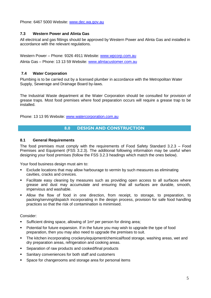Phone: 6467 5000 Website: [www.dec.wa.gov.au](http://www.dec.wa.gov.au/)

## **7.3 Western Power and Alinta Gas**

All electrical and gas fittings should be approved by Western Power and Alinta Gas and installed in accordance with the relevant regulations.

Western Power – Phone: 9326 4911 Website: [www.wpcorp.com.au](http://www.wpcorp.com.au/) Alinta Gas – Phone: 13 13 59 Website: [www.alintacustomer.com.au](http://www.alintacustomer.com.au/)

## **7.4 Water Corporation**

Plumbing is to be carried out by a licensed plumber in accordance with the Metropolitan Water Supply, Sewerage and Drainage Board by-laws.

The Industrial Waste department at the Water Corporation should be consulted for provision of grease traps. Most food premises where food preparation occurs will require a grease trap to be installed.

Phone: 13 13 95 Website: [www.watercorporation.com.au](http://www.watercorporation.com.au/)

## **8.0 DESIGN AND CONSTRUCTION**

#### **8.1 General Requirements**

The food premises must comply with the requirements of Food Safety Standard 3.2.3 – Food Premises and Equipment (FSS 3.2.3). The additional following information may be useful when designing your food premises (follow the FSS 3.2.3 headings which match the ones below).

Your food business design must aim to:

- Exclude locations that may allow harbourage to vermin by such measures as eliminating cavities, cracks and crevices.
- Facilitate easy cleaning by measures such as providing open access to all surfaces where grease and dust may accumulate and ensuring that all surfaces are durable, smooth, impervious and washable.
- Allow the flow of food in one direction, from receipt, to storage, to preparation, to packing/serving/dispatch incorporating in the design process, provision for safe food handling practices so that the risk of contamination is minimised.

Consider:

- **Sufficient dining space, allowing of 1m<sup>2</sup> per person for dining area;**
- Potential for future expansion. If in the future you may wish to upgrade the type of food preparation, then you may also need to upgrade the premises to suit.
- The kitchen incorporating crockery/equipment/chemical/food storage, washing areas, wet and dry preparation areas, refrigeration and cooking areas.
- Separation of raw products and cooked/final products
- Sanitary conveniences for both staff and customers
- **Space for changerooms and storage area for personal items**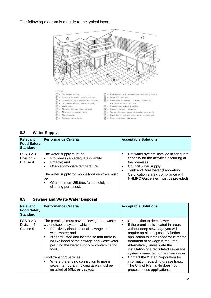The following diagram is a guide to the typical layout:



LEGEND:

 $\mathcal{L} =$  Thermometer

 $\circledS =$  Garbage receptacle

- $\begin{array}{ll} \bigcirc \mathbb{D} = & \text{Floor} / \text{wall} \text{ cavity} \\ \bigcirc \mathbb{D} = & \text{Castors to under branch storage} \end{array}$
- 3) Impervious floor graded and dramed  $\widetilde{a}$  = Hot water heater sealed to wall
- $\circledS$  = Walls tiled
- $\circledS$  = Shelving 25 mm clear of wall  $\circled{2}$  = Sink unit on metal frame
- @ = Dishwasher with temperature indicating device
- $① = \text{Leg} 150 \text{ mm min.}$
- $\overline{\text{CD}}$  = Underside of support bracket 150mm to the finished floor surface
- $@ =$  Painted plasterboard celling
- $\widehat{\mathbb{G}}$  = Smooth cement rendering
- $@ =$  Water drainage pipes concealed into walls (c) = Hand basin, hot and cold water mixing set
- $\widetilde{D}$  = Soap and towel dispenser

#### **8.2 Water Supply**

| <b>Relevant</b><br><b>Food Safety</b><br><b>Standard</b> | <b>Performance Criteria</b>                                                                                                                                             | <b>Acceptable Solutions</b>                                                                                                                                                                            |
|----------------------------------------------------------|-------------------------------------------------------------------------------------------------------------------------------------------------------------------------|--------------------------------------------------------------------------------------------------------------------------------------------------------------------------------------------------------|
| FSS 3.2.3<br>Division 2<br>Clause 4                      | The water supply must be:<br>Provided in an adequate quantity;<br>■<br>Potable; and<br>Of an appropriate temperature.<br>The water supply for mobile food vehicles must | Hot water system installed in adequate<br>capacity for the activities occurring at<br>the premises<br>Council water supply<br>Tank and Bore water (Laboratory<br>Certification stating compliance with |
|                                                          | be:<br>Of a minimum 25Litres (used solely for<br>cleaning purposes).                                                                                                    | NHMRC Guidelines must be provided)                                                                                                                                                                     |

#### **8.3 Sewage and Waste Water Disposal**

| <b>Relevant</b><br><b>Food Safety</b><br><b>Standard</b> | <b>Performance Criteria</b>                                                                                                                                                                                                                                                                           | <b>Acceptable Solutions</b>                                                                                                                                                                                                                                                                                                                                        |
|----------------------------------------------------------|-------------------------------------------------------------------------------------------------------------------------------------------------------------------------------------------------------------------------------------------------------------------------------------------------------|--------------------------------------------------------------------------------------------------------------------------------------------------------------------------------------------------------------------------------------------------------------------------------------------------------------------------------------------------------------------|
| FSS 3.2.3<br>Division 2<br>Clause 5                      | The premises must have a sewage and waste<br>water disposal system which:<br>Effectively disposes of all sewage and<br>٠<br>wastewater; and<br>Is constructed and located so that there is<br>٠<br>no likelihood of the sewage and wastewater<br>polluting the water supply or contaminating<br>food. | Connection to deep sewer<br>٠<br>If the premises is located in areas<br>$\blacksquare$<br>without deep sewerage you will<br>require on-site disposal. A further<br>application to install apparatus for the<br>treatment of sewage is required.<br>Alternatively, investigate the<br>installation of a reticulated sewerage<br>system connected to the main sewer. |
|                                                          | Food transport vehicles:<br>Where there is no connection to mains<br>sewer, temporary holding tanks must be<br>installed at 50Litres capacity.                                                                                                                                                        | Contact the Water Corporation for<br>п<br>information regarding grease traps.<br>The City of Fremantle does not<br>process these applications.                                                                                                                                                                                                                     |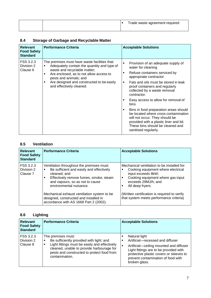|  | Trade waste agreement required |
|--|--------------------------------|
|  |                                |

# **8.4 Storage of Garbage and Recyclable Matter**

| <b>Relevant</b><br><b>Food Safety</b><br><b>Standard</b> | <b>Performance Criteria</b>                                                                                                                                                                                                                                                               | <b>Acceptable Solutions</b>                                                                                                                                                                                                                                                                                                                                                                                                                                                                                                                                                          |
|----------------------------------------------------------|-------------------------------------------------------------------------------------------------------------------------------------------------------------------------------------------------------------------------------------------------------------------------------------------|--------------------------------------------------------------------------------------------------------------------------------------------------------------------------------------------------------------------------------------------------------------------------------------------------------------------------------------------------------------------------------------------------------------------------------------------------------------------------------------------------------------------------------------------------------------------------------------|
| FSS 3.2.3<br>Division 2<br>Clause 6                      | The premises must have waste facilities that:<br>Adequately contain the quantity and type of<br>٠<br>waste and recyclable matter;<br>Are enclosed, as to not allow access to<br>٠<br>pests and animals; and<br>Are designed and constructed to be easily<br>٠<br>and effectively cleaned. | Provision of an adequate supply of<br>$\blacksquare$<br>water for cleaning<br>Refuse containers serviced by<br>٠<br>appropriate contractor<br>Fats and oils must be stored in leak<br>٠<br>proof containers and regularly<br>collected by a waste removal<br>contractor.<br>Easy access to allow for removal of<br>$\blacksquare$<br>bins<br>Bins in food preparation areas should<br>$\blacksquare$<br>be located where cross contamination<br>will not occur. They should be<br>provided with a plastic liner and lid.<br>These bins should be cleaned and<br>sanitised regularly. |

## **8.5 Ventilation**

| <b>Relevant</b><br><b>Food Safety</b><br><b>Standard</b> | <b>Performance Criteria</b>                                                                                                                                                                                                                                                                                                                           | <b>Acceptable Solutions</b>                                                                                                                                                                                                                                                                           |
|----------------------------------------------------------|-------------------------------------------------------------------------------------------------------------------------------------------------------------------------------------------------------------------------------------------------------------------------------------------------------------------------------------------------------|-------------------------------------------------------------------------------------------------------------------------------------------------------------------------------------------------------------------------------------------------------------------------------------------------------|
| FSS 3.2.3<br>Division 2<br>Clause 7                      | Ventilation throughout the premises must:<br>Be sufficient and easily and effectively<br>п<br>cleaned: and<br>Effectively remove fumes, smoke, steam<br>and vapours, so as not to cause<br>environmental nuisance.<br>Mechanical exhaust ventilation system to be<br>designed, constructed and installed in<br>accordance with AS 1668 Part 2 (2002). | Mechanical ventilation to be installed for:<br>Cooking equipment where electrical<br>input exceeds 8kW;<br>Cooking equipment where gas input<br>$\blacksquare$<br>exceeds 29MJ/h; and<br>All deep fryers.<br>(Written certification is required to verify)<br>that system meets performance criteria) |

# **8.6 Lighting**

| <b>Relevant</b><br><b>Food Safety</b><br><b>Standard</b> | <b>Performance Criteria</b>                                                                                                                                                                                                       | <b>Acceptable Solutions</b>                                                                                                                                                                                                              |
|----------------------------------------------------------|-----------------------------------------------------------------------------------------------------------------------------------------------------------------------------------------------------------------------------------|------------------------------------------------------------------------------------------------------------------------------------------------------------------------------------------------------------------------------------------|
| FSS 3.2.3<br>Division 2<br>Clause 8                      | The premises must:<br>Be sufficiently provided with light; and<br>г<br>Light fittings must be easily and effectively<br>cleaned, unable to provide harbourage for<br>pests and constructed to protect food from<br>contamination. | Natural light<br>Artificial-recessed and diffuser<br>Artificial-ceiling mounted and diffuser<br>Light fittings are to be provided with<br>protective plastic covers or sleeves to<br>prevent contamination of food with<br>broken glass. |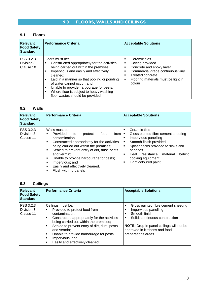## **9.1 Floors**

| <b>Relevant</b><br><b>Food Safety</b><br><b>Standard</b> | <b>Performance Criteria</b>                                                                                                                                                                                                                                                                                                                                                                                | <b>Acceptable Solutions</b>                                                                                                                                                                  |
|----------------------------------------------------------|------------------------------------------------------------------------------------------------------------------------------------------------------------------------------------------------------------------------------------------------------------------------------------------------------------------------------------------------------------------------------------------------------------|----------------------------------------------------------------------------------------------------------------------------------------------------------------------------------------------|
| FSS 3.2.3<br>Division 3<br>Clause 10                     | Floors must be:<br>Constructed appropriately for the activities<br>٠<br>being carried out within the premises;<br>Impervious and easily and effectively<br>$\blacksquare$<br>cleaned:<br>Laid in a manner so that pooling or ponding<br>٠<br>of water cannot occur; and<br>Unable to provide harbourage for pests.<br>٠<br>Where floor is subject to heavy washing<br>٠<br>floor wastes should be provided | Ceramic tiles<br>Coving provided<br>٠<br>Concrete and epoxy layer<br>٠<br>Commercial grade continuous vinyl<br><b>Treated concrete</b><br>Flooring materials must be light in<br>٠<br>colour |

## **9.2 Walls**

| <b>Relevant</b><br><b>Food Safety</b><br><b>Standard</b> | <b>Performance Criteria</b>                                                                                                                                                                                                                                                                                                                                                    | <b>Acceptable Solutions</b>                                                                                                                                                                                                                                                   |
|----------------------------------------------------------|--------------------------------------------------------------------------------------------------------------------------------------------------------------------------------------------------------------------------------------------------------------------------------------------------------------------------------------------------------------------------------|-------------------------------------------------------------------------------------------------------------------------------------------------------------------------------------------------------------------------------------------------------------------------------|
| FSS 3.2.3<br>Division 3<br>Clause 11                     | Walls must be:<br>Provided<br>food<br>from<br>protect<br>to<br>contamination:<br>Constructed appropriately for the activities<br>being carried out within the premises;<br>Sealed to prevent entry of dirt, dust, pests<br>and vermin:<br>Unable to provide harbourage for pests;<br>٠<br>Impervious; and<br>٠<br>Easily and effectively cleaned.<br>п<br>Flush with no panels | Ceramic tiles<br>Е<br>Gloss painted fibre cement sheeting<br>п<br>Impervious panelling<br>г<br>Smooth finish provided<br>٠<br>Splashbacks provided to sinks and<br>п<br>benches<br>resistance<br>material<br>behind<br>Heat<br>п<br>cooking equipment<br>Light coloured paint |

# **9.3 Ceilings**

| <b>Relevant</b><br><b>Food Safety</b><br><b>Standard</b> | <b>Performance Criteria</b>                                                                                                                                                                                                                                                                                                                   | <b>Acceptable Solutions</b>                                                                                                                                                                                                         |
|----------------------------------------------------------|-----------------------------------------------------------------------------------------------------------------------------------------------------------------------------------------------------------------------------------------------------------------------------------------------------------------------------------------------|-------------------------------------------------------------------------------------------------------------------------------------------------------------------------------------------------------------------------------------|
| FSS 3.2.3<br>Division 3<br>Clause 11                     | Ceilings must be:<br>Provided to protect food from<br>contamination;<br>Constructed appropriately for the activities<br>п<br>being carried out within the premises;<br>Sealed to prevent entry of dirt, dust, pests<br>٠<br>and vermin:<br>Unable to provide harbourage for pests;<br>٠<br>Impervious; and<br>Easily and effectively cleaned. | Gloss painted fibre cement sheeting<br>٠<br>Impervious panelling<br>Smooth finish<br>Solid, continuous construction<br>٠<br><b>NOTE:</b> Drop-in panel ceilings will not be<br>approved in kitchens and food<br>preparations areas. |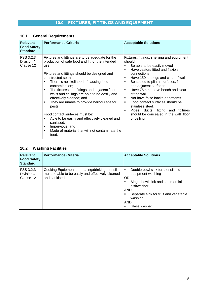# **10.1 General Requirements**

| <b>Relevant</b><br><b>Food Safety</b><br><b>Standard</b> | <b>Performance Criteria</b>                                                                                                                                                                                                                                                                                                                                                                                                                                                                                                                                                                                                                                     | <b>Acceptable Solutions</b>                                                                                                                                                                                                                                                                                                                                                                                                                                                                                                 |
|----------------------------------------------------------|-----------------------------------------------------------------------------------------------------------------------------------------------------------------------------------------------------------------------------------------------------------------------------------------------------------------------------------------------------------------------------------------------------------------------------------------------------------------------------------------------------------------------------------------------------------------------------------------------------------------------------------------------------------------|-----------------------------------------------------------------------------------------------------------------------------------------------------------------------------------------------------------------------------------------------------------------------------------------------------------------------------------------------------------------------------------------------------------------------------------------------------------------------------------------------------------------------------|
| FSS 3.2.3<br>Division 4<br>Clause 12                     | Fixtures and fittings are to be adequate for the<br>production of safe food and fit for the intended<br>use.<br>Fixtures and fittings should be designed and<br>constructed so that:<br>There is no likelihood of causing food<br>٠<br>contamination;<br>The fixtures and fittings and adjacent floors,<br>٠<br>walls and ceilings are able to be easily and<br>effectively cleaned; and<br>They are unable to provide harbourage for<br>٠<br>pests.<br>Food contact surfaces must be:<br>Able to be easily and effectively cleaned and<br>٠<br>sanitised;<br>Impervious; and<br>٠<br>Made of material that will not contaminate the<br>$\blacksquare$<br>food. | Fixtures, fittings, shelving and equipment<br>should:<br>Be able to be easily moved<br>Have castors fitted and flexible<br>٠<br>connections<br>Have 150mm legs and clear of walls<br>٠<br>Be sealed to plinth, surfaces, floor<br>٠<br>and adjacent surfaces<br>Have 75mm above bench and clear<br>٠<br>of the wall<br>Not have false backs or bottoms<br>٠<br>Food contact surfaces should be<br>٠<br>stainless steel.<br>Pipes, ducts, fitting and fixtures<br>п<br>should be concealed in the wall, floor<br>or ceiling. |

# **10.2 Washing Facilities**

| <b>Relevant</b><br><b>Food Safety</b><br><b>Standard</b> | <b>Performance Criteria</b>                                                                                           | <b>Acceptable Solutions</b>                                                                                                                                                                                                         |
|----------------------------------------------------------|-----------------------------------------------------------------------------------------------------------------------|-------------------------------------------------------------------------------------------------------------------------------------------------------------------------------------------------------------------------------------|
| I FSS 3.2.3<br>Division 4<br>Clause 12                   | Cooking Equipment and eating/drinking utensils<br>must be able to be easily and effectively cleaned<br>and sanitised. | Double bowl sink for utensil and<br>$\blacksquare$<br>equipment washing<br>OR<br>Single bowl sink and commercial<br>dishwasher<br><b>AND</b><br>Separate sink for fruit and vegetable<br>п<br>washing<br><b>AND</b><br>Glass washer |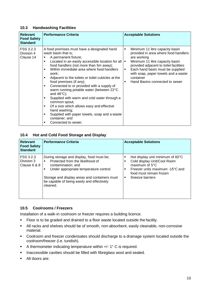#### **10.3 Handwashing Facilities**

| <b>Relevant</b><br><b>Food Safety</b><br><b>Standard</b> | <b>Performance Criteria</b>                                                                                                                                                                                                                                                                                                                                                                                                                                                                                                                                                                                                                                                                                                      | <b>Acceptable Solutions</b>                                                                                                                                                                                                                                                                                                    |
|----------------------------------------------------------|----------------------------------------------------------------------------------------------------------------------------------------------------------------------------------------------------------------------------------------------------------------------------------------------------------------------------------------------------------------------------------------------------------------------------------------------------------------------------------------------------------------------------------------------------------------------------------------------------------------------------------------------------------------------------------------------------------------------------------|--------------------------------------------------------------------------------------------------------------------------------------------------------------------------------------------------------------------------------------------------------------------------------------------------------------------------------|
| FSS 3.2.3<br>Division 4<br>Clause 14                     | A food premises must have a designated hand<br>wash basin that is;<br>A permanent fixture;<br>٠<br>Located in an easily accessible location for all<br>٠<br>food handlers (not more than 5m away);<br>Within immediate area where food handlers<br>$\blacksquare$<br>work;<br>Adjacent to the toilets or toilet cubicles at the<br>٠<br>food premises (if any);<br>Connected to or provided with a supply of<br>٠<br>warm running potable water (between 22°C<br>and $48^{\circ}$ C);<br>Supplied with warm and cold water through a<br>٠<br>common spout;<br>Of a size which allows easy and effective<br>٠<br>hand washing;<br>Supplied with paper towels, soap and a waste<br>٠<br>container; and<br>Connected to sewer.<br>٠ | Minimum 11 litre capacity basin<br>٠<br>provided in area where food handlers<br>are working<br>Minimum 11 litre capacity basin<br>$\blacksquare$<br>provided adjacent to toilet facilities<br>Each hand basin must be supplied<br>٠<br>with soap, paper towels and a waste<br>container<br>Hand Basins connected to sewer<br>٠ |

## **10.4 Hot and Cold Food Storage and Display**

| <b>Relevant</b><br><b>Food Safety</b><br><b>Standard</b> | <b>Performance Criteria</b>                                                                                                                                                                                                                                                     | <b>Acceptable Solutions</b>                                                                                                                                                                           |
|----------------------------------------------------------|---------------------------------------------------------------------------------------------------------------------------------------------------------------------------------------------------------------------------------------------------------------------------------|-------------------------------------------------------------------------------------------------------------------------------------------------------------------------------------------------------|
| FSS 3.2.3<br>Division 3<br>Clause $6 & 8$                | During storage and display, food must be;<br>Protected from the likelihood of<br>$\blacksquare$<br>contamination; and<br>Under appropriate temperature control.<br>٠<br>Storage and display areas and containers must<br>be capable of being easily and effectively<br>cleaned. | Hot display unit minimum of $60^{\circ}$ C<br>٠<br>Cold display Unit/Cool Room<br>٠<br>maximum of $5^{\circ}$ C<br>Freezer units maximum -15°C and<br>food must remain frozen<br>Sneeze barriers<br>٠ |

## **10.5 Coolrooms / Freezers**

Installation of a walk-in coolroom or freezer requires a building licence.

- Floor is to be graded and drained to a floor waste located outside the facility.
- All racks and shelves should be of smooth, non-absorbent, easily cleanable, non-corrosive material.
- Coolroom and freezer condensates should discharge to a drainage system located outside the coolroom/freezer (i.e. tundish).
- A thermometer indicating temperature within +/- 1° C is required.
- **Inaccessible cavities should be filled with fibreglass wool and sealed.**
- All doors are: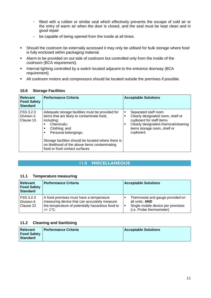- fitted with a rubber or similar seal which effectively prevents the escape of cold air or the entry of warm air when the door is closed, and the seal must be kept clean and in good repair
- be capable of being opened from the inside at all times.
- Should the coolroom be externally accessed it may only be utilised for bulk storage where food is fully enclosed within packaging material.
- Alarm to be provided on out side of coolroom but controlled only from the inside of the coolroom (BCA requirement).
- **Internal lighting controlled by a switch located adjacent to the entrance doorway (BCA** requirement).
- All coolroom motors and compressors should be located outside the premises if possible.

| <b>Relevant</b><br><b>Food Safety</b><br><b>Standard</b> | <b>Performance Criteria</b>                                                                                                                                                                                                                                                                                             | <b>Acceptable Solutions</b>                                                                                                                                                               |
|----------------------------------------------------------|-------------------------------------------------------------------------------------------------------------------------------------------------------------------------------------------------------------------------------------------------------------------------------------------------------------------------|-------------------------------------------------------------------------------------------------------------------------------------------------------------------------------------------|
| FSS 3.2.3<br>Division 4<br>Clause 15                     | Adequate storage facilities must be provided for<br>items that are likely to contaminate food,<br>including;<br>Chemicals:<br>Clothing; and<br>٠<br>Personal belongings.<br>٠<br>Storage facilities should be located where there is<br>no likelihood of the above items contaminating<br>food or food contact surfaces | Separated staff room<br>٠<br>Clearly designated room, shelf or<br>٠<br>cupboard for staff items<br>Clearly designated chemical/cleaning<br>п<br>items storage room, shelf or<br>cupboard. |

## **10.6 Storage Facilities**

## **11.0 MISCELLANEOUS**

## **11.1 Temperature measuring**

| <b>Relevant</b><br><b>Food Safety</b><br>Standard | <b>Performance Criteria</b>                                                                                                                                | <b>Acceptable Solutions</b>                                                                                              |
|---------------------------------------------------|------------------------------------------------------------------------------------------------------------------------------------------------------------|--------------------------------------------------------------------------------------------------------------------------|
| <b>FSS 3.2.3</b><br>Division 6<br>Clause 22       | A food premises must have a temperature<br>measuring device that can accurately measure<br>the temperature of potentially hazardous food to<br>$+/- 1$ °C. | Thermostat and gauge provided on<br>all units; AND<br>Single mobile device per premises<br>٠<br>(i.e. Probe thermometer) |

## **11.2 Cleaning and Sanitising**

| <b>Relevant</b>    | <b>I Performance Criteria</b> | <b>Acceptable Solutions</b> |
|--------------------|-------------------------------|-----------------------------|
| <b>Food Safety</b> |                               |                             |
| Standard           |                               |                             |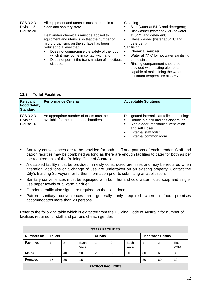| FSS 3.2.3<br>Division 5<br>Clause 20 | All equipment and utensils must be kept in a<br>clean and sanitary state.<br>Heat and/or chemicals must be applied to<br>equipment and utensils so that the number of<br>micro-organisms on the surface has been<br>reduced to a level that:<br>Does not compromise the safety of the food<br>which it may come in contact with; and<br>Does not permit the transmission of infectious<br>disease. | Cleaning<br>Sink (water at 54°C and detergent);<br>Dishwasher (water at 75°C or water<br>п<br>at 54°C and detergent);<br>Glass washer (water at 54°C and<br>٠<br>detergent).<br>Sanitising<br>Chemical sanitizer<br>٠<br>Water at 77°C for hot water sanitising<br>п<br>at the sink<br>Rinsing compartment should be<br>п<br>provided with heating elements<br>capable of maintaining the water at a<br>minimum temperature of 77°C. |
|--------------------------------------|----------------------------------------------------------------------------------------------------------------------------------------------------------------------------------------------------------------------------------------------------------------------------------------------------------------------------------------------------------------------------------------------------|--------------------------------------------------------------------------------------------------------------------------------------------------------------------------------------------------------------------------------------------------------------------------------------------------------------------------------------------------------------------------------------------------------------------------------------|
|--------------------------------------|----------------------------------------------------------------------------------------------------------------------------------------------------------------------------------------------------------------------------------------------------------------------------------------------------------------------------------------------------------------------------------------------------|--------------------------------------------------------------------------------------------------------------------------------------------------------------------------------------------------------------------------------------------------------------------------------------------------------------------------------------------------------------------------------------------------------------------------------------|

## **11.3 Toilet Facilities**

| <b>Relevant</b><br><b>Food Safety</b><br><b>Standard</b> | <b>Performance Criteria</b>                                                         | <b>Acceptable Solutions</b>                                                                                                                                                                           |
|----------------------------------------------------------|-------------------------------------------------------------------------------------|-------------------------------------------------------------------------------------------------------------------------------------------------------------------------------------------------------|
| FSS 3.2.3<br>Division 5<br>Clause 16                     | An appropriate number of toilets must be<br>available for the use of food handlers. | Designated internal staff toilet containing:<br>Double air lock and self closers; or<br>Single door, mechanical ventilation<br>٠<br>and self closer.<br>External staff toilet<br>External common room |

- Sanitary conveniences are to be provided for both staff and patrons of each gender. Staff and patron facilities may be combined as long as there are enough facilities to cater for both as per the requirements of the Building Code of Australia.
- A disabled facility must be provided in newly constructed premises and may be required when alteration, additions or a change of use are undertaken on an existing property. Contact the City's Building Surveyors for further information prior to submitting an application.
- Sanitary conveniences must be equipped with both hot and cold water, liquid soap and singleuse paper towels or a warm air drier.
- Gender identification signs are required on the toilet doors.
- **Patron sanitary conveniences are generally only required when a food premises** accommodates more than 20 persons.

Refer to the following table which is extracted from the Building Code of Australia for number of facilities required for staff and patrons of each gender.

| <b>STAFF FACILITIES</b>  |                |    |               |                |    |               |                         |    |               |
|--------------------------|----------------|----|---------------|----------------|----|---------------|-------------------------|----|---------------|
| Numbers of:              | <b>Toilets</b> |    |               | <b>Urinals</b> |    |               | <b>Hand-wash Basins</b> |    |               |
| <b>Facilities</b>        |                | 2  | Each<br>extra |                | 2  | Each<br>extra |                         | 2  | Each<br>extra |
| <b>Males</b>             | 20             | 40 | 20            | 25             | 50 | 50            | 30                      | 60 | 30            |
| <b>Females</b>           | 15             | 30 | 15            |                |    |               | 30                      | 60 | 30            |
| <b>PATRON FACILITIES</b> |                |    |               |                |    |               |                         |    |               |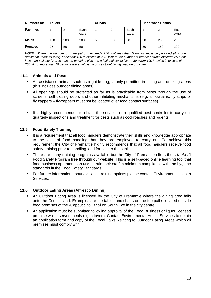| Numbers of:       | <b>Toilets</b> |     | Urinals       |    |     | <b>Hand-wash Basins</b> |    |     |               |
|-------------------|----------------|-----|---------------|----|-----|-------------------------|----|-----|---------------|
| <b>Facilities</b> |                | 2   | Each<br>extra |    | 2   | Each<br>extra           |    | 2   | Each<br>extra |
| <b>Males</b>      | 100            | 300 | 200           | 50 | 100 | 50                      | 20 | 200 | 200           |
| <b>Females</b>    | 25             | 50  | 50            |    |     |                         | 50 | 150 | 200           |

*NOTE: Where the number of male patrons exceeds 250, not less than 5 urinals must be provided plus one additional urinal for every additional 100 in excess of 250. Where the number of female patrons exceeds 250, not less than 6 closet fixtures must be provided plus one additional closet fixture for every 100 females in excess of 250. If not more than 10 persons are employed a unisex toilet facility may be provided.*

## **11.4 Animals and Pests**

- An assistance animal, such as a guide-dog, is only permitted in dining and drinking areas (this includes outdoor dining areas).
- All openings should be protected as far as is practicable from pests through the use of screens, self-closing doors and other inhibiting mechanisms (e.g. air-curtains, fly-strips or fly zappers – fly-zappers must not be located over food contact surfaces).
- It is highly recommended to obtain the services of a qualified pest controller to carry out quarterly inspections and treatment for pests such as cockroaches and rodents.

## **11.5 Food Safety Training**

- It is a requirement that all food handlers demonstrate their skills and knowledge appropriate to the level of food handling that they are employed to carry out. To achieve this requirement the City of Fremantle highly recommends that all food handlers receive food safety training prior to handling food for sale to the public.
- **There are many training programs available but the City of Fremantle offers the -***I'm Alert* Food Safety Program free through our website. This is a self-paced online learning tool that food business operators can use to train their staff to minimum compliance with the hygiene standards in the Food Safety Standards.
- For further information about available training options please contact Environmental Health Services.

## **11.6 Outdoor Eating Areas (Alfresco Dining)**

- An Outdoor Eating Area is licensed by the City of Fremantle where the dining area falls onto the Council land. Examples are the tables and chairs on the footpaths located outside food premises of the -Cappuccino Stripll on South Tce in the city centre.
- An application must be submitted following approval of the Food Business or liquor licensed premise which serves meals e.g. a tavern. Contact Environmental Health Services to obtain an application form and copy of the Local Laws Relating to Outdoor Eating Areas which all premises must comply with.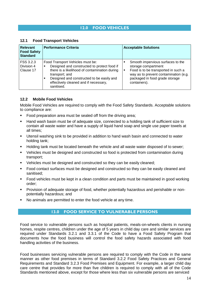## **12.0 FOOD VEHICLES**

| <b>Relevant</b><br><b>Food Safety</b><br><b>Standard</b> | <b>Performance Criteria</b>                                                                                                                                                                                                                            | <b>Acceptable Solutions</b>                                                                                                                                                                                  |
|----------------------------------------------------------|--------------------------------------------------------------------------------------------------------------------------------------------------------------------------------------------------------------------------------------------------------|--------------------------------------------------------------------------------------------------------------------------------------------------------------------------------------------------------------|
| FSS 3.2.3<br>Division 4<br>Clause 17                     | Food Transport Vehicles must be:<br>Designed and constructed to protect food if<br>there is a likelihood of contamination during<br>transport; and<br>Designed and constructed to be easily and<br>effectively cleaned and if necessary,<br>sanitised. | Smooth impervious surfaces to the<br>storage compartment<br>Food is to be transported in such a<br>$\blacksquare$<br>way as to prevent contamination (e.g.<br>packaged in food grade storage<br>containers). |

#### **12.1 Food Transport Vehicles**

## **12.2 Mobile Food Vehicles**

Mobile Food Vehicles are required to comply with the Food Safety Standards. Acceptable solutions to compliance are:

- Food preparation area must be sealed off from the driving area;
- Hand wash basin must be of adequate size, connected to a holding tank of sufficient size to contain all waste water and have a supply of liquid hand soap and single use paper towels at all times;
- Utensil washing sink to be provided in addition to hand wash basin and connected to water holding tank;
- Holding tank must be located beneath the vehicle and all waste water disposed of to sewer;
- Vehicles must be designed and constructed so food is protected from contamination during transport;
- Vehicles must be designed and constructed so they can be easily cleaned;
- Food contact surfaces must be designed and constructed so they can be easily cleaned and sanitised;
- Food vehicles must be kept in a clean condition and parts must be maintained in good working order;
- Provision of adequate storage of food, whether potentially hazardous and perishable or nonpotentially hazardous; and
- No animals are permitted to enter the food vehicle at any time.

## **13.0 FOOD SERVICE TO VULNERABLE PERSONS**

Food service to vulnerable persons such as hospital patients, meals-on-wheels clients in nursing homes, respite centres, children under the age of 5 years in child day care and similar services are required under Standards 3.2.1 and 3.3.1 of the Code to have a Food Safety Program that documents how the food business will control the food safety hazards associated with food handling activities of the business.

Food businesses servicing vulnerable persons are required to comply with the Code in the same manner as other food premises in terms of Standard 3.2.2 Food Safety Practices and General Requirements and Standard 3.2.3 Food Premises and Equipment. For example, a larger child day care centre that provides for more than five children is required to comply with all of the Code Standards mentioned above, except for those where less than six vulnerable persons are serviced